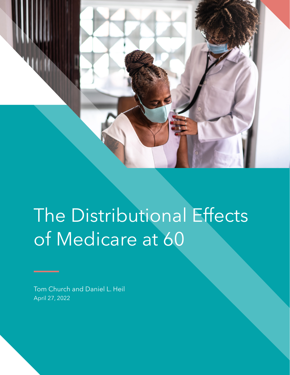

# The Distributional Effects of Medicare at 60

Tom Church and Daniel L. Heil April 27, 2022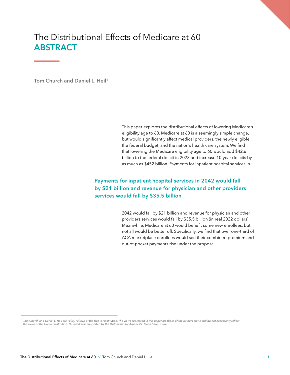# The Distributional Effects of Medicare at 60 **ABSTRACT**

Tom Church and Daniel L. Heil<sup>1</sup>

This paper explores the distributional effects of lowering Medicare's eligibility age to 60. Medicare at 60 is a seemingly simple change, but would significantly affect medical providers, the newly eligible, the federal budget, and the nation's health care system. We find that lowering the Medicare eligibility age to 60 would add \$42.6 billion to the federal deficit in 2023 and increase 10-year deficits by as much as \$452 billion. Payments for inpatient hospital services in

## **Payments for inpatient hospital services in 2042 would fall by \$21 billion and revenue for physician and other providers services would fall by \$35.5 billion**

2042 would fall by \$21 billion and revenue for physician and other providers services would fall by \$35.5 billion (in real 2022 dollars). Meanwhile, Medicare at 60 would benefit some new enrollees, but not all would be better off. Specifically, we find that over one-third of ACA marketplace enrollees would see their combined premium and out-of-pocket payments rise under the proposal.

<sup>&</sup>lt;sup>1</sup> Tom Church and Daniel L. Heil are Policy Fellows at the Hoover Institution. The views expressed in this paper are those of the authors alone and do not necessarily reflect *the views of the Hoover Institution. This work was supported by the Partnership for America's Health Care Future.*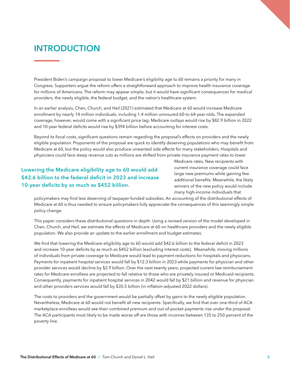# **INTRODUCTION**

President Biden's campaign proposal to lower Medicare's eligibility age to 60 remains a priority for many in Congress. Supporters argue the reform offers a straightforward approach to improve health insurance coverage for millions of Americans. The reform may appear simple, but it would have significant consequences for medical providers, the newly eligible, the federal budget, and the nation's healthcare system.

In an earlier analysis, Chen, Church, and Heil (2021) estimated that Medicare at 60 would increase Medicare enrollment by nearly 14 million individuals, including 1.4 million uninsured 60-to 64-year-olds. The expanded coverage, however, would come with a significant price tag: Medicare outlays would rise by \$82.9 billion in 2022 and 10-year federal deficits would rise by \$394 billion before accounting for interest costs.

Beyond its fiscal costs, significant questions remain regarding the proposal's effects on providers and the newly eligible population. Proponents of the proposal are quick to identify deserving populations who may benefit from Medicare at 60, but the policy would also produce unwanted side effects for many stakeholders. Hospitals and physicians could face steep revenue cuts as millions are shifted from private insurance payment rates to lower

## **Lowering the Medicare eligibility age to 60 would add \$42.6 billion to the federal deficit in 2023 and increase 10-year deficits by as much as \$452 billion.**

Medicare rates. New recipients with current insurance coverage could face large new premiums while gaining few additional benefits. Meanwhile, the likely winners of the new policy would include many high-income individuals that

policymakers may find less deserving of taxpayer-funded subsidies. An accounting of the distributional effects of Medicare at 60 is thus needed to ensure policymakers fully appreciate the consequences of this seemingly simple policy change.

This paper considers these distributional questions in depth. Using a revised version of the model developed in Chen, Church, and Heil, we estimate the effects of Medicare at 60 on healthcare providers and the newly eligible population. We also provide an update to the earlier enrollment and budget estimates.

We find that lowering the Medicare eligibility age to 60 would add \$42.6 billion to the federal deficit in 2023 and increase 10-year deficits by as much as \$452 billion (excluding interest costs). Meanwhile, moving millions of individuals from private coverage to Medicare would lead to payment reductions for hospitals and physicians. Payments for inpatient hospital services would fall by \$12.3 billion in 2023 while payments for physician and other provider services would decline by \$2.9 billion. Over the next twenty years, projected current-law reimbursement rates for Medicare enrollees are projected to fall relative to those who are privately insured or Medicaid recipients. Consequently, payments for inpatient hospital services in 2042 would fall by \$21 billion and revenue for physician and other providers services would fall by \$35.5 billion (in inflation-adjusted 2022 dollars).

The costs to providers and the government would be partially offset by gains to the newly eligible population. Nevertheless, Medicare at 60 would not benefit all new recipients. Specifically, we find that over one-third of ACA marketplace enrollees would see their combined premium and out-of-pocket payments rise under the proposal. The ACA participants most likely to be made worse off are those with incomes between 135 to 250 percent of the poverty line.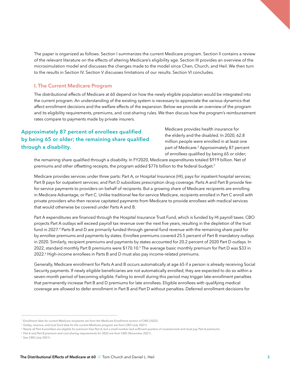The paper is organized as follows. Section I summarizes the current Medicare program. Section II contains a review of the relevant literature on the effects of altering Medicare's eligibility age. Section III provides an overview of the microsimulation model and discusses the changes made to the model since Chen, Church, and Heil. We then turn to the results in Section IV. Section V discusses limitations of our results. Section VI concludes.

#### **I. The Current Medicare Program**

The distributional effects of Medicare at 60 depend on how the newly eligible population would be integrated into the current program. An understanding of the existing system is necessary to appreciate the various dynamics that affect enrollment decisions and the welfare effects of the expansion. Below we provide an overview of the program and its eligibility requirements, premiums, and cost-sharing rules. We then discuss how the program's reimbursement rates compare to payments made by private insurers.

## **Approximately 87 percent of enrollees qualified by being 65 or older; the remaining share qualified through a disability.**

Medicare provides health insurance for the elderly and the disabled. In 2020, 62.8 million people were enrolled in at least one part of Medicare.<sup>2</sup> Approximately 87 percent of enrollees qualified by being 65 or older;

the remaining share qualified through a disability. In FY2020, Medicare expenditures totaled \$919 billion. Net of premiums and other offsetting receipts, the program added \$776 billion to the federal budget.<sup>3</sup>

Medicare provides services under three parts: Part A, or Hospital Insurance (HI), pays for inpatient hospital services; Part B pays for outpatient services; and Part D subsidizes prescription drug coverage. Parts A and Part B provide feefor-service payments to providers on behalf of recipients. But a growing share of Medicare recipients are enrolling in Medicare Advantage, or Part C. Unlike traditional fee-for-service Medicare, recipients enrolled in Part C enroll with private providers who then receive capitated payments from Medicare to provide enrollees with medical services that would otherwise be covered under Parts A and B.

Part A expenditures are financed through the Hospital Insurance Trust Fund, which is funded by HI payroll taxes. CBO projects Part A outlays will exceed payroll tax revenue over the next five years, resulting in the depletion of the trust fund in 2027.<sup>4</sup> Parts B and D are primarily funded through general fund revenue with the remaining share paid for by enrollee premiums and payments by states. Enrollee premiums covered 25.5 percent of Part B mandatory outlays in 2020. Similarly, recipient premiums and payments by states accounted for 20.2 percent of 2020 Part D outlays. In 2022, standard monthly Part B premiums were \$170.10.<sup>5</sup> The average basic monthly premium for Part D was \$33 in 2022.6 High-income enrollees in Parts B and D must also pay income-related premiums.

Generally, Medicare enrollment for Parts A and B occurs automatically at age 65 if a person is already receiving Social Security payments. If newly eligible beneficiaries are not automatically enrolled, they are expected to do so within a seven-month period of becoming eligible. Failing to enroll during this period may trigger late-enrollment penalties that permanently increase Part B and D premiums for late enrollees. Eligible enrollees with qualifying medical coverage are allowed to defer enrollment in Part B and Part D without penalties. Deferred enrollment decisions for

<sup>2</sup>*Enrollment data for current Medicare recipients are from the Medicare Enrollment section of CMS (2022).* 

<sup>&</sup>lt;sup>3</sup> Outlay, revenue, and trust fund data for the current Medicare program are from CBO (July 2021).

<sup>4</sup>*Nearly all Part A enrollees are eligible for premium-free Part A, but a small number lack sufficient quarters of covered work and must pay Part A premiums.*

<sup>5</sup>*Part A and Part B premium and cost-sharing requirements for 2022 are from CMS (November 2021).*

<sup>6</sup>*See CMS (July 2021).*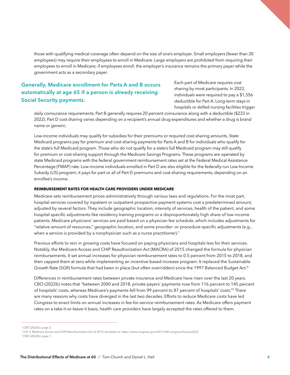those with qualifying medical coverage often depend on the size of one's employer. Small employers (fewer than 20 employees) may require their employees to enroll in Medicare. Large employers are prohibited from requiring their employees to enroll in Medicare; if employees enroll, the employer's insurance remains the primary payer while the government acts as a secondary payer.

## **Generally, Medicare enrollment for Parts A and B occurs automatically at age 65 if a person is already receiving Social Security payments.**

Each part of Medicare requires cost sharing by most participants. In 2022, individuals were required to pay a \$1,556 deductible for Part A. Long-term stays in hospitals or skilled nursing facilities trigger

daily coinsurance requirements. Part B generally requires 20 percent coinsurance along with a deductible (\$233 in 2022). Part D cost sharing varies depending on a recipient's annual drug expenditures and whether a drug is brand name or generic.

Low-income individuals may qualify for subsidies for their premiums or required cost-sharing amounts. State Medicaid programs pay for premium and cost-sharing payments for Parts A and B for individuals who qualify for the state's full Medicaid program. Those who do not qualify for a state's full Medicaid program may still qualify for premium or cost-sharing support through the Medicare Savings Programs. These programs are operated by state Medicaid programs with the federal government reimbursement rates set at the Federal Medical Assistance Percentage (FMAP) rate. Low-income individuals enrolled in Part D are also eligible for the federally-run Low-Income Subsidy (LIS) program; it pays for part or all of Part D premiums and cost-sharing requirements, depending on an enrollee's income.

#### **REIMBURSEMENT RATES FOR HEALTH CARE PROVIDERS UNDER MEDICARE**

Medicare sets reimbursement prices administratively through various laws and regulations. For the most part, hospital services covered by inpatient or outpatient prospective payment systems cost a predetermined amount, adjusted by several factors. They include geographic location, intensity of services, health of the patient, and some hospital-specific adjustments like residency training programs or a disproportionately high share of low-income patients. Medicare physicians' services are paid based on a physician fee schedule, which includes adjustments for "relative amount of resources," geographic location, and some provider- or procedure-specific adjustments (e.g., when a service is provided by a nonphysician such as a nurse practitioner).<sup>7</sup>

Previous efforts to rein in growing costs have focused on paying physicians and hospitals less for their services. Notably, the Medicare Access and CHIP Reauthorization Act (MACRA) of 2015 changed the formula for physician reimbursements. It set annual increases for physician reimbursement rates to 0.5 percent from 2015 to 2018, and then capped them at zero while implementing an incentive-based increase program. It replaced the Sustainable Growth Rate (SGR) formula that had been in place (but often overridden) since the 1997 Balanced Budget Act.<sup>8</sup>

Differences in reimbursement rates between private insurance and Medicare have risen over the last 20 years. CBO (2022b) notes that "between 2000 and 2018, private payers' payments rose from 116 percent to 145 percent of hospitals' costs, whereas Medicare's payments fell from 99 percent to 87 percent of hospitals' costs."9 There are many reasons why costs have diverged in the last two decades. Efforts to reduce Medicare costs have led Congress to enact limits on annual increases in fee-for-service reimbursement rates. As Medicare offers payment rates on a take-it-or-leave-it basis, health care providers have largely accepted the rates offered to them.

<sup>7</sup>*CBO (2022b), page 2.* 

<sup>8</sup>*H.R. 2. Medicare Access and CHIP Reauthorization Act of 2015. Available at: https://www.congress.gov/bill/114th-congress/house-bill/2.* 9 *CBO (2022b), page 7.*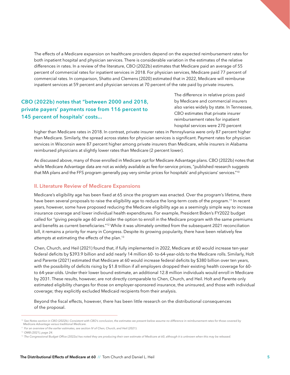The effects of a Medicare expansion on healthcare providers depend on the expected reimbursement rates for both inpatient hospital and physician services. There is considerable variation in the estimates of the relative differences in rates. In a review of the literature, CBO (2022b) estimates that Medicare paid an average of 55 percent of commercial rates for inpatient services in 2018. For physician services, Medicare paid 77 percent of commercial rates. In comparison, Shatto and Clemens (2020) estimated that in 2022, Medicare will reimburse inpatient services at 59 percent and physician services at 70 percent of the rate paid by private insurers.

## **CBO (2022b) notes that "between 2000 and 2018, private payers' payments rose from 116 percent to 145 percent of hospitals' costs...**

The difference in relative prices paid by Medicare and commercial insurers also varies widely by state. In Tennessee, CBO estimates that private insurer reimbursement rates for inpatient hospital services were 270 percent

higher than Medicare rates in 2018. In contrast, private insurer rates in Pennsylvania were only 87 percent higher than Medicare. Similarly, the spread across states for physician services is significant. Payment rates for physician services in Wisconsin were 87 percent higher among private insurers than Medicare, while insurers in Alabama reimbursed physicians at slightly lower rates than Medicare (2 percent lower).

As discussed above, many of those enrolled in Medicare opt for Medicare Advantage plans. CBO (2022b) notes that while Medicare Advantage data are not as widely available as fee-for-service prices, "published research suggests that MA plans and the FFS program generally pay very similar prices for hospitals' and physicians' services."10

#### **II. Literature Review of Medicare Expansions**

Medicare's eligibility age has been fixed at 65 since the program was enacted. Over the program's lifetime, there have been several proposals to raise the eligibility age to reduce the long-term costs of the program.<sup>11</sup> In recent years, however, some have proposed reducing the Medicare eligibility age as a seemingly simple way to increase insurance coverage and lower individual health expenditures. For example, President Biden's FY2022 budget called for "giving people age 60 and older the option to enroll in the Medicare program with the same premiums and benefits as current beneficiaries."<sup>12</sup> While it was ultimately omitted from the subsequent 2021 reconciliation bill, it remains a priority for many in Congress. Despite its growing popularity, there have been relatively few attempts at estimating the effects of the plan.<sup>13</sup>

Chen, Church, and Heil (2021) found that, if fully implemented in 2022, Medicare at 60 would increase ten-year federal deficits by \$393.9 billion and add nearly 14 million 60- to-64-year-olds to the Medicare rolls. Similarly, Holt and Parente (2021) estimated that Medicare at 60 would increase federal deficits by \$380 billion over ten years, with the possibility of deficits rising by \$1.8 trillion if all employers dropped their existing health coverage for 60to 64-year-olds. Under their lower bound estimate, an additional 12.8 million individuals would enroll in Medicare by 2031. These results, however, are not directly comparable to Chen, Church, and Heil. Holt and Parente only estimated eligibility changes for those on employer-sponsored insurance, the uninsured, and those with individual coverage; they explicitly excluded Medicaid recipients from their analysis.

Beyond the fiscal effects, however, there has been little research on the distributional consequences of the proposal.

<sup>&</sup>lt;sup>10</sup> See Notes section in CBO (2022b). Consistent with CBO's conclusion, the estimates we present below assume no difference in reimbursement rates for those covered by *Medicare Advantage versus traditional Medicare.*

<sup>&</sup>lt;sup>11</sup> For an overview of the earlier estimates, see section IV of Chen, Church, and Heil (2021).

<sup>12</sup>*OMB (2021), page 24.*

<sup>&</sup>lt;sup>13</sup> The Congressional Budget Office (2022a) has noted they are producing their own estimate of Medicare at 60, although it is unknown when this may be released.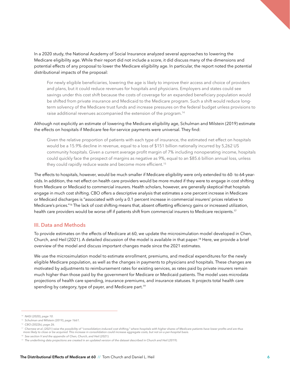In a 2020 study, the National Academy of Social Insurance analyzed several approaches to lowering the Medicare eligibility age. While their report did not include a score, it did discuss many of the dimensions and potential effects of any proposal to lower the Medicare eligibility age. In particular, the report noted the potential distributional impacts of the proposal:

For newly eligible beneficiaries, lowering the age is likely to improve their access and choice of providers and plans, but it could reduce revenues for hospitals and physicians. Employers and states could see savings under this cost shift because the costs of coverage for an expanded beneficiary population would be shifted from private insurance and Medicaid to the Medicare program. Such a shift would reduce longterm solvency of the Medicare trust funds and increase pressures on the federal budget unless provisions to raise additional revenues accompanied the extension of the program.14

#### Although not explicitly an estimate of lowering the Medicare eligibility age, Schulman and Milstein (2019) estimate the effects on hospitals if Medicare fee-for-service payments were universal. They find:

Given the relative proportion of patients with each type of insurance, the estimated net effect on hospitals would be a 15.9% decline in revenue, equal to a loss of \$151 billion nationally incurred by 5,262 US community hospitals. Given a current average profit margin of 7% including nonoperating income, hospitals could quickly face the prospect of margins as negative as 9%, equal to an \$85.6 billion annual loss, unless they could rapidly reduce waste and become more efficient.<sup>15</sup>

The effects to hospitals, however, would be much smaller if Medicare eligibility were only extended to 60- to 64-yearolds. In addition, the net effect on health care providers would be more muted if they were to engage in cost shifting from Medicare or Medicaid to commercial insurers. Health scholars, however, are generally skeptical that hospitals engage in much cost shifting. CBO offers a descriptive analysis that estimates a one percent increase in Medicare or Medicaid discharges is "associated with only a 0.1 percent increase in commercial insurers' prices relative to Medicare's prices."<sup>16</sup> The lack of cost shifting means that, absent offsetting efficiency gains or increased utilization, health care providers would be worse off if patients shift from commercial insurers to Medicare recipients.<sup>17</sup>

#### **III. Data and Methods**

To provide estimates on the effects of Medicare at 60, we update the microsimulation model developed in Chen, Church, and Heil (2021). A detailed discussion of the model is available in that paper.18 Here, we provide a brief overview of the model and discuss important changes made since the 2021 estimates.

We use the microsimulation model to estimate enrollment, premiums, and medical expenditures for the newly eligible Medicare population, as well as the changes in payments to physicians and hospitals. These changes are motivated by adjustments to reimbursement rates for existing services, as rates paid by private insurers remain much higher than those paid by the government for Medicare or Medicaid patients. The model uses microdata projections of health care spending, insurance premiums, and insurance statuses. It projects total health care spending by category, type of payer, and Medicare part.<sup>19</sup>

<sup>14</sup> *NASI (2020), page 10.*

<sup>15</sup> *Schulman and Milstein (2019), page 1661.*

<sup>16</sup> *CBO (2022b), page 26.*

<sup>17</sup> *Chernew et al. (2021) raise the possibility of "consolidation-induced cost shifting," where hospitals with higher shares of Medicare patients have lower profits and are thus more likely to close or be acquired. This increase in consolidation could increase aggregate costs, but not on a per-hospital basis.* 

<sup>&</sup>lt;sup>18</sup> See section V and the appendix of Chen, Church, and Heil (2021).

<sup>19</sup> *The underlining data projections are created in an updated version of the dataset described in Church and Heil (2019).*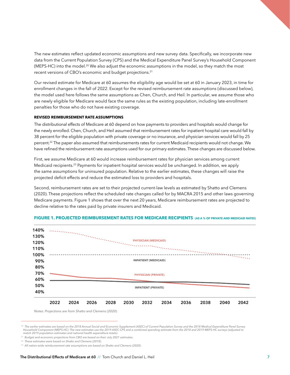The new estimates reflect updated economic assumptions and new survey data. Specifically, we incorporate new data from the Current Population Survey (CPS) and the Medical Expenditure Panel Survey's Household Component (MEPS-HC) into the model.<sup>20</sup> We also adjust the economic assumptions in the model, so they match the most recent versions of CBO's economic and budget projections.21

Our revised estimate for Medicare at 60 assumes the eligibility age would be set at 60 in January 2023, in time for enrollment changes in the fall of 2022. Except for the revised reimbursement rate assumptions (discussed below), the model used here follows the same assumptions as Chen, Church, and Heil. In particular, we assume those who are newly eligible for Medicare would face the same rules as the existing population, including late-enrollment penalties for those who do not have existing coverage.

#### **REVISED REIMBURSEMENT RATE ASSUMPTIONS**

The distributional effects of Medicare at 60 depend on how payments to providers and hospitals would change for the newly enrolled. Chen, Church, and Heil assumed that reimbursement rates for inpatient hospital care would fall by 38 percent for the eligible population with private coverage or no insurance, and physician services would fall by 25 percent.<sup>22</sup> The paper also assumed that reimbursements rates for current Medicaid recipients would not change. We have refined the reimbursement rate assumptions used for our primary estimates. These changes are discussed below.

First, we assume Medicare at 60 would increase reimbursement rates for physician services among current Medicaid recipients.23 Payments for inpatient hospital services would be unchanged. In addition, we apply the same assumptions for uninsured population. Relative to the earlier estimates, these changes will raise the projected deficit effects and reduce the estimated loss to providers and hospitals.

Second, reimbursement rates are set to their projected current-law levels as estimated by Shatto and Clemens (2020). These projections reflect the scheduled rate changes called for by MACRA 2015 and other laws governing Medicare payments. Figure 1 shows that over the next 20 years, Medicare reimbursement rates are projected to decline relative to the rates paid by private insurers and Medicaid.



#### **FIGURE 1. PROJECTED REIMBURSEMENT RATES FOR MEDICARE RECIPIENTS (AS A % OF PRIVATE AND MEDICAID RATES)**

*Notes: Projections are from Shatto and Clemens (2020).*

<sup>&</sup>lt;sup>20</sup> The earlier estimates are based on the 2018 Annual Social and Economic Supplement (ASEC) of Current Population Survey and the 2018 Medical Expenditure Panel Survey *Household Component (MEPS-HC). The new estimates use the 2019 ASEC CPS and a combined spending estimate from the 2018 and 2019 MEPS-HC surveys (adjusted to match 2019 population estimates and national health expenditure totals).* 

<sup>21</sup> *Budget and economic projections from CBO are based on their July 2021 estimates.* 

<sup>22</sup> *These estimates were based on Shatto and Clemens (2018).*

<sup>23</sup> *All nation-wide reimbursement rate assumptions are based on Shatto and Clemens (2020).*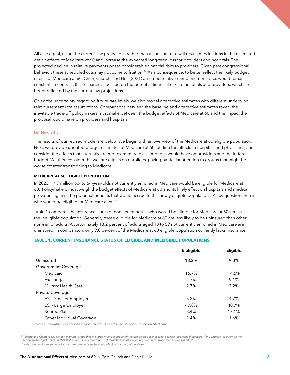All else equal, using the current-law projections rather than a constant rate will result in reductions in the estimated deficit effects of Medicare at 60 and increase the expected long-term loss for providers and hospitals. The projected decline in relative payments poses considerable financial risks to providers. Given past congressional behavior, these scheduled cuts may not come to fruition.<sup>24</sup> As a consequence, to better reflect the likely budget effects of Medicare at 60, Chen, Church, and Heil (2021) assumed relative reimbursement rates would remain constant. In contrast, this research is focused on the potential financial risks to hospitals and providers, which are better reflected by the current-law projections.

Given the uncertainty regarding future rate levels, we also model alternative estimates with different underlying reimbursement rate assumptions. Comparisons between the baseline and alternative estimates reveal the inevitable trade-off policymakers must make between the budget effects of Medicare at 60 and the impact the proposal would have on providers and hospitals.

#### **IV. Results**

The results of our revised model are below. We begin with an overview of the Medicare at 60 eligible population. Next, we provide updated budget estimates of Medicare at 60, outline the effects to hospitals and physicians, and consider the effects that alternative reimbursement rate assumptions would have on providers and the federal budget. We then consider the welfare effects on enrollees, paying particular attention to groups that might be worse off after transitioning to Medicare.

#### **MEDICARE AT 60 ELIGIBLE POPULATION**

In 2023, 17.7 million 60- to 64-year-olds not currently enrolled in Medicare would be eligible for Medicare at 60. Policymakers must weigh the budget effects of Medicare at 60 and its likely effect on hospitals and medical providers against the potential benefits that would accrue to this newly eligible populations. A key question then is who would be eligible for Medicare at 60?

Table 1 compares the insurance status of non-senior adults who would be eligible for Medicare at 60 versus the ineligible population. Generally, those eligible for Medicare at 60 are less likely to be uninsured than other non-senior adults. Approximately 13.2 percent of adults aged 18 to 59 not currently enrolled in Medicare are uninsured. In comparison, only 9.0 percent of the Medicare at 60 eligible population currently lacks insurance.

#### **TABLE 1. CURRENT INSURANCE STATUS OF ELIGIBLE AND INELIGIBLE POPULATIONS**

|                           | Ineligible | Eligible |
|---------------------------|------------|----------|
| Uninsured                 | 13.2%      | 9.0%     |
| Government Coverage       |            |          |
| Medicaid                  | 16.7%      | 14.5%    |
| Exchange                  | 4.7%       | 9.1%     |
| Military Health Care      | 2.7%       | 3.2%     |
| Private Coverage          |            |          |
| ESI - Smaller Employer    | 5.2%       | 4.7%     |
| ESI - Large Employer      | 47.8%      | 40.7%    |
| Retiree Plan              | 8.4%       | 17.1%    |
| Other Individual Coverage | 1.4%       | 1.6%     |
|                           |            |          |

*Notes: Ineligible population includes all adults aged 18 to 59 not enrolled on Medicare.*

<sup>&</sup>lt;sup>24</sup> Shatto and Clemens (2018), for example, argue that the large financial impact of the projected declines would create "substantial pressure" for Congress "to override the *productivity adjustments [in MACRA], much as they did to prevent reductions in physician payment rates while the SGR was in effect."*

<sup>25</sup>*This group includes some individuals that would likely be ineligible due to immigration status.*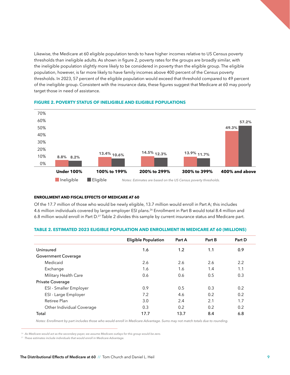Likewise, the Medicare at 60 eligible population tends to have higher incomes relative to US Census poverty thresholds than ineligible adults. As shown in figure 2, poverty rates for the groups are broadly similar, with the ineligible population slightly more likely to be considered in poverty than the eligible group. The eligible population, however, is far more likely to have family incomes above 400 percent of the Census poverty thresholds. In 2023, 57 percent of the eligible population would exceed that threshold compared to 49 percent of the ineligible group. Consistent with the insurance data, these figures suggest that Medicare at 60 may poorly target those in need of assistance.



#### **FIGURE 2. POVERTY STATUS OF INELIGIBLE AND ELIGIBLE POPULATIONS**

#### **ENROLLMENT AND FISCAL EFFECTS OF MEDICARE AT 60**

Of the 17.7 million of those who would be newly eligible, 13.7 million would enroll in Part A; this includes 4.6 million individuals covered by large-employer ESI plans.<sup>26</sup> Enrollment in Part B would total 8.4 million and 6.8 million would enroll in Part D.<sup>27</sup> Table 2 divides this sample by current insurance status and Medicare part.

|                               | <b>Eligible Population</b> | Part A | Part B | Part D |  |
|-------------------------------|----------------------------|--------|--------|--------|--|
| Uninsured                     | 1.6                        | 1.2    | 1.1    | 0.9    |  |
| <b>Government Coverage</b>    |                            |        |        |        |  |
| Medicaid                      | 2.6                        | 2.6    | 2.6    | 2.2    |  |
| Exchange                      | 1.6                        | 1.6    | 1.4    | 1.1    |  |
| Military Health Care          | 0.6                        | 0.6    | 0.5    | 0.3    |  |
| Private Coverage              |                            |        |        |        |  |
| <b>ESI</b> - Smaller Employer | 0.9                        | 0.5    | 0.3    | 0.2    |  |
| ESI - Large Employer          | 7.2                        | 4.6    | 0.2    | 0.2    |  |
| Retiree Plan                  | 3.0                        | 2.4    | 2.1    | 1.7    |  |
| Other Individual Coverage     | 0.3                        | 0.2    | 0.2    | 0.2    |  |
| Total                         | 17.7                       | 13.7   | 8.4    | 6.8    |  |

#### **TABLE 2. ESTIMATED 2023 ELIGIBLE POPULATION AND ENROLLMENT IN MEDICARE AT 60 (MILLIONS)**

*Notes: Enrollment by part includes those who would enroll in Medicare Advantage. Sums may not match totals due to rounding.*

<sup>26</sup> *As Medicare would act as the secondary payer, we assume Medicare outlays for this group would be zero.*

<sup>27</sup> *These estimates include individuals that would enroll in Medicare Advantage.*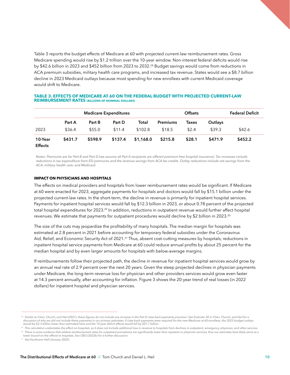Table 3 reports the budget effects of Medicare at 60 with projected current-law reimbursement rates. Gross Medicare spending would rise by \$1.2 trillion over the 10-year window. Non-interest federal deficits would rise by \$42.6 billion in 2023 and \$452 billion from 2023 to 2032.28 Budget savings would come from reductions in ACA premium subsidies, military health care programs, and increased tax revenue. States would see a \$8.7 billion decline in 2023 Medicaid outlays because most spending for new enrollees with current Medicaid coverage would shift to Medicare.

#### **TABLE 3. EFFECTS OF MEDICARE AT 60 ON THE FEDERAL BUDGET WITH PROJECTED CURRENT-LAW REIMBURSEMENT RATES (BILLIONS OF NOMINAL DOLLARS)**

|                           | <b>Medicare Expenditures</b> |         |         |           | <b>Offsets</b>  |        |         | <b>Federal Deficit</b> |
|---------------------------|------------------------------|---------|---------|-----------|-----------------|--------|---------|------------------------|
|                           | Part A                       | Part B  | Part D  | Total     | <b>Premiums</b> | Taxes  | Outlays |                        |
| 2023                      | \$36.4                       | \$55.0  | \$11.4  | \$102.8   | \$18.5          | \$2.4  | \$39.3  | \$42.6                 |
| 10-Year<br><b>Effects</b> | \$431.7                      | \$598.9 | \$137.4 | \$1,168.0 | \$215.8         | \$28.1 | \$471.9 | \$452.2                |

*Notes: Premiums are for Part B and Part D (we assume all Part A recipients are offered premium-free hospital insurance). Tax increases include*  reductions in tax expenditure from ESI premiums and the revenue savings from ACA tax credits. Outlay reductions include net savings from the *ACA, military health care, and Medicaid.*

#### **IMPACT ON PHYSICIANS AND HOSPITALS**

The effects on medical providers and hospitals from lower reimbursement rates would be significant. If Medicare at 60 were enacted for 2023, aggregate payments for hospitals and doctors would fall by \$15.1 billion under the projected current-law rates. In the short-term, the decline in revenue is primarily for inpatient hospital services. Payments for inpatient hospital services would fall by \$12.3 billion in 2023, or about 0.78 percent of the projected total hospital expenditures for 2023.<sup>29</sup> In addition, reductions in outpatient revenue would further affect hospital revenues. We estimate that payments for outpatient procedures would decline by \$2 billion in 2023.30

The size of the cuts may jeopardize the profitability of many hospitals. The median margin for hospitals was estimated at 2.8 percent in 2021 before accounting for temporary federal subsidies under the Coronavirus Aid, Relief, and Economic Security Act of 2021.<sup>31</sup> Thus, absent cost-cutting measures by hospitals, reductions in inpatient hospital service payments from Medicare at 60 could reduce annual profits by about 25 percent for the median hospital and by even larger amounts for hospitals with below-average margins.

If reimbursements follow their projected path, the decline in revenue for inpatient hospital services would grow by an annual real rate of 2.9 percent over the next 20 years. Given the steep projected declines in physician payments under Medicare, the long-term revenue loss for physician and other providers services would grow even faster at 14.3 percent annually, after accounting for inflation. Figure 3 shows the 20-year trend of real losses (in 2022 dollars) for inpatient hospital and physician services.

*lower bound on the effects to hospitals. See CBO (2022b) for a further discussion.*

<sup>&</sup>lt;sup>28</sup> Similar to Chen, Church, and Heil (2021), these figures do not include any increase in the Part D claw-back payments provision. See footnote 30 in Chen, Church, and Heil for a *discussion of why we did not include these payments in our primary estimates. If claw-back payments were required for the new Medicare at 60 enrollees, the 2023 budget outlays would be \$2.3 billion lower than estimated here and the 10-year deficit effects would fall by \$27.7 billion.* 

<sup>29</sup> *This calculation understates the effect on hospitals, as it does not include additional loss in revenue to hospitals from declines in outpatient, emergency, physician, and other services.* <sup>30</sup> There is some evidence that relative reimbursement rates for outpatient procedures are significantly lower than inpatient or physician services, thus our estimates here likely serve as a

<sup>31</sup> *See Kaufmann Hall (January 2022).*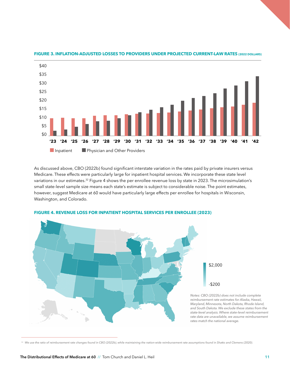

#### **FIGURE 3. INFLATION-ADJUSTED LOSSES TO PROVIDERS UNDER PROJECTED CURRENT-LAW RATES (2022 DOLLARS)**

As discussed above, CBO (2022b) found significant interstate variation in the rates paid by private insurers versus Medicare. These effects were particularly large for inpatient hospital services. We incorporate these state level variations in our estimates.<sup>32</sup> Figure 4 shows the per enrollee revenue loss by state in 2023. The microsimulation's small state-level sample size means each state's estimate is subject to considerable noise. The point estimates, however, suggest Medicare at 60 would have particularly large effects per enrollee for hospitals in Wisconsin, Washington, and Colorado.



#### **FIGURE 4. REVENUE LOSS FOR INPATIENT HOSPITAL SERVICES PER ENROLLEE (2023)**

<sup>&</sup>lt;sup>32</sup> We use the ratio of reimbursement rate changes found in CBO (2022b), while maintaining the nation-wide reimbursement rate assumptions found in Shatto and Clemens (2020).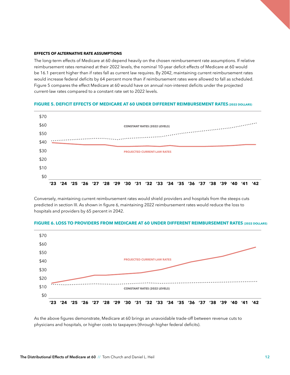#### **EFFECTS OF ALTERNATIVE RATE ASSUMPTIONS**

\$20  $$10$ \$0

The long-term effects of Medicare at 60 depend heavily on the chosen reimbursement rate assumptions. If relative reimbursement rates remained at their 2022 levels, the nominal 10-year deficit effects of Medicare at 60 would be 16.1 percent higher than if rates fall as current law requires. By 2042, maintaining current reimbursement rates would increase federal deficits by 64 percent more than if reimbursement rates were allowed to fall as scheduled. Figure 5 compares the effect Medicare at 60 would have on annual non-interest deficits under the projected current-law rates compared to a constant rate set to 2022 levels.

#### \$70 \$60 **CONSTANT RATES (2022 LEVELS)** ........................ \$50 \$40 \$30 **PROJECTED CURRENT-LAW RATES**

#### FIGURE 5. DEFICIT EFFECTS OF MEDICARE AT 60 UNDER DIFFERENT REIMBURSEMENT RATES (2022 DOLLARS)

Conversely, maintaining current reimbursement rates would shield providers and hospitals from the steeps cuts predicted in section III. As shown in figure 6, maintaining 2022 reimbursement rates would reduce the loss to hospitals and providers by 65 percent in 2042.



#### FIGURE 6. LOSS TO PROVIDERS FROM MEDICARE AT 60 UNDER DIFFERENT REIMBURSEMENT RATES (2022 DOLLARS)

**'23 '24 '25 '26 '27 '28 '29 '30 '31 '32 '33 '34 '35 '36 '37 '38 '39 '40 '41 '42**

As the above figures demonstrate, Medicare at 60 brings an unavoidable trade-off between revenue cuts to physicians and hospitals, or higher costs to taxpayers (through higher federal deficits).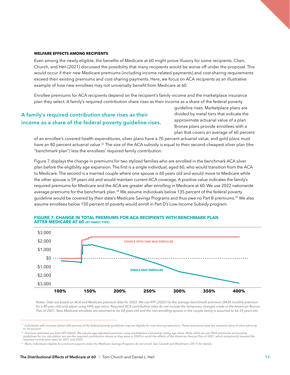#### **WELFARE EFFECTS AMONG RECIPIENTS**

Even among the newly eligible, the benefits of Medicare at 60 might prove illusory for some recipients. Chen, Church, and Heil (2021) discussed the possibility that many recipients would be worse off under the proposal. This would occur if their new Medicare premiums (including income-related payments) and cost-sharing requirements exceed their existing premiums and cost-sharing payments. Here, we focus on ACA recipients as an illustrative example of how new enrollees may not universally benefit from Medicare at 60.

Enrollee premiums for ACA recipients depend on the recipient's family income and the marketplace insurance plan they select. A family's required contribution share rises as their income as a share of the federal poverty

## **A family's required contribution share rises as their income as a share of the federal poverty guideline rises.**

guideline rises. Marketplace plans are divided by metal tiers that indicate the approximate actuarial value of a plan. Bronze plans provide enrollees with a plan that covers an average of 60 percent

of an enrollee's covered health expenditures, silver plans have a 70 percent actuarial value, and gold plans must have an 80 percent actuarial value.<sup>33</sup> The size of the ACA subsidy is equal to their second-cheapest silver plan (the "benchmark plan") less the enrollees' required family contribution.

Figure 7 displays the change in premiums for two stylized families who are enrolled in the benchmark ACA silver plan before the eligibility age expansion. The first is a single individual, aged 60, who would transition from the ACA to Medicare. The second is a married couple where one spouse is 60 years old and would move to Medicare while the other spouse is 59 years old and would maintain current ACA coverage. A positive value indicates the family's required premiums for Medicare and the ACA are greater after enrolling in Medicare at 60. We use 2022 nationwide average premiums for the benchmark plan.<sup>34</sup> We assume individuals below 135 percent of the federal poverty guideline would be covered by their state's Medicare Savings Programs and thus owe no Part B premiums.<sup>35</sup> We also assume enrollees below 150 percent of poverty would enroll in Part D's Low-Income Subsidy program.



#### **FIGURE 7. CHANGE IN TOTAL PREMIUMS FOR ACA RECIPIENTS WITH BENCHMARK PLAN AFTER MEDICARE AT 60 (BY FAMILY TYPE)**

*Notes: Data are based on ACA and Medicare premium data for 2022. We use KFF (2022) for the average benchmark premium (\$438 monthly premium*  for a 40-year old) and adjust using HHS age ratios. Required ACA contribution rates do not include the temporary changes made in the American Rescue *Plan of 2021. New Medicare enrollees are assumed to be 60 years old and the non-enrolling spouse in the couple family is assumed to be 59 years old.*

 $\frac{33}{2}$  Individuals with incomes below 250 percent of the federal poverty guidelines may be eligible for cost-sharing reductions. These reductions raise the actuarial value of silver plans up *to 94 percent.* 

<sup>&</sup>lt;sup>34</sup> Premium estimates are from KFF (2022). We impute age-adjusted premiums using marketplace community rating age ratios. Note, while we use 2022 premiums and poverty<br>guidelines for our calculation, we use the required co *required contribution rates for 2021 and 2022.* 

<sup>&</sup>lt;sup>35</sup> Many individuals eligible for premium support under the Medicare Savings Programs do not enroll. See Caswell and Waidmann (2017) for details.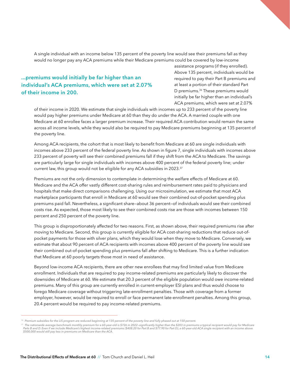A single individual with an income below 135 percent of the poverty line would see their premiums fall as they would no longer pay any ACA premiums while their Medicare premiums could be covered by low-income

## **...premiums would initially be far higher than an individual's ACA premiums, which were set at 2.07% of their income in 200.**

assistance programs (if they enrolled). Above 135 percent, individuals would be required to pay their Part B premiums and at least a portion of their standard Part D premiums.<sup>36</sup> These premiums would initially be far higher than an individual's ACA premiums, which were set at 2.07%

of their income in 2020. We estimate that single individuals with incomes up to 233 percent of the poverty line would pay higher premiums under Medicare at 60 than they do under the ACA. A married couple with one Medicare at 60 enrollee faces a larger premium increase. Their required ACA contribution would remain the same across all income levels, while they would also be required to pay Medicare premiums beginning at 135 percent of the poverty line.

Among ACA recipients, the cohort that is most likely to benefit from Medicare at 60 are single individuals with incomes above 233 percent of the federal poverty line. As shown in figure 7, single individuals with incomes above 233 percent of poverty will see their combined premiums fall if they shift from the ACA to Medicare. The savings are particularly large for single individuals with incomes above 400 percent of the federal poverty line; under current law, this group would not be eligible for any ACA subsidies in 2023.37

Premiums are not the only dimension to contemplate in determining the welfare effects of Medicare at 60. Medicare and the ACA offer vastly different cost-sharing rules and reimbursement rates paid to physicians and hospitals that make direct comparisons challenging. Using our microsimulation, we estimate that most ACA marketplace participants that enroll in Medicare at 60 would see their combined out-of-pocket spending plus premiums paid fall. Nevertheless, a significant share—about 36 percent—of individuals would see their combined costs rise. As expected, those most likely to see their combined costs rise are those with incomes between 150 percent and 250 percent of the poverty line.

This group is disproportionately affected for two reasons. First, as shown above, their required premiums rise after moving to Medicare. Second, this group is currently eligible for ACA cost-sharing reductions that reduce out-ofpocket payments for those with silver plans, which they would lose when they move to Medicare. Conversely, we estimate that about 90 percent of ACA recipients with incomes above 400 percent of the poverty line would see their combined out-of-pocket spending plus premiums fall after shifting to Medicare. This is a further indication that Medicare at 60 poorly targets those most in need of assistance.

Beyond low-income ACA recipients, there are other new enrollees that may find limited value from Medicare enrollment. Individuals that are required to pay income-related premiums are particularly likely to discover the downsides of Medicare at 60. We estimate that 20.3 percent of the eligible population would owe income-related premiums. Many of this group are currently enrolled in current-employer ESI plans and thus would choose to forego Medicare coverage without triggering late-enrollment penalties. Those with coverage from a former employer, however, would be required to enroll or face permanent late-enrollment penalties. Among this group, 20.4 percent would be required to pay income-related premiums.

<sup>&</sup>lt;sup>36</sup> Premium subsidies for the LIS program are reduced beginning at 135 percent of the poverty line and fully phased out at 150 percent.

<sup>&</sup>lt;sup>37</sup> The nationwide average benchmark monthly premium for a 60-year-old is \$726 in 2022–significantly higher than the \$203 in premiums a typical recipient would pay for Medicare<br>Parts B and D. Even if we include Medicare's *\$500,000 would still pay less in premiums on Medicare than the ACA.*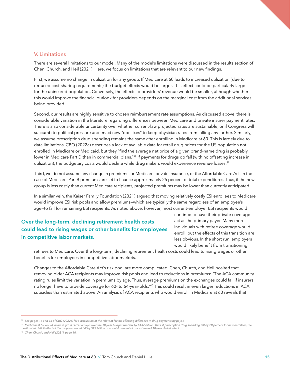#### **V. Limitations**

There are several limitations to our model. Many of the model's limitations were discussed in the results section of Chen, Church, and Heil (2021). Here, we focus on limitations that are relevant to our new findings.

First, we assume no change in utilization for any group. If Medicare at 60 leads to increased utilization (due to reduced cost-sharing requirements) the budget effects would be larger. This effect could be particularly large for the uninsured population. Conversely, the effects to providers' revenue would be smaller, although whether this would improve the financial outlook for providers depends on the marginal cost from the additional services being provided.

Second, our results are highly sensitive to chosen reimbursement rate assumptions. As discussed above, there is considerable variation in the literature regarding differences between Medicare and private insurer payment rates. There is also considerable uncertainty over whether current-law projected rates are sustainable, or if Congress will succumb to political pressure and enact new "doc fixes" to keep physician rates from falling any further. Similarly, we assume prescription drug spending remains the same after enrolling in Medicare at 60. This is largely due to data limitations. CBO (2022c) describes a lack of available data for retail drug prices for the US population not enrolled in Medicare or Medicaid, but they "find the average net price of a given brand-name drug is probably lower in Medicare Part D than in commercial plans."<sup>38</sup> If payments for drugs do fall (with no offsetting increase in utilization), the budgetary costs would decline while drug makers would experience revenue losses.39

Third, we do not assume any change in premiums for Medicare, private insurance, or the Affordable Care Act. In the case of Medicare, Part B premiums are set to finance approximately 25 percent of total expenditures. Thus, if the new group is less costly than current Medicare recipients, projected premiums may be lower than currently anticipated.

In a similar vein, the Kaiser Family Foundation (2021) argued that moving relatively costly ESI enrollees to Medicare would improve ESI risk pools and allow premiums—which are typically the same regardless of an employee's age—to fall for remaining ESI recipients. As noted above, however, most current-employer ESI recipients would

## **Over the long-term, declining retirement health costs could lead to rising wages or other benefits for employees in competitive labor markets.**

continue to have their private coverage act as the primary payer. Many more individuals with retiree coverage would enroll, but the effects of this transition are less obvious. In the short run, employers would likely benefit from transitioning

retirees to Medicare. Over the long-term, declining retirement health costs could lead to rising wages or other benefits for employees in competitive labor markets.

Changes to the Affordable Care Act's risk pool are more complicated. Chen, Church, and Heil posited that removing older ACA recipients may improve risk pools and lead to reductions in premiums: "The ACA community rating rules limit the variation in premiums by age. Thus, average premiums on the exchanges could fall if insurers no longer have to provide coverage for 60- to 64-year-olds."<sup>40</sup> This could result in even larger reductions in ACA subsidies than estimated above. An analysis of ACA recipients who would enroll in Medicare at 60 reveals that

<sup>&</sup>lt;sup>38</sup> See pages 14 and 15 of CBO (2022c) for a discussion of the relevant factors affecting difference in drug payments by payer.

<sup>&</sup>lt;sup>39</sup> Medicare at 60 would increase gross Part D outlays over the 10-year budget window by \$137 billion. Thus, if prescription drug spending fell by 20 percent for new enrollees, the *estimated deficit effect of the proposal would fall by \$27 billion or about 6 percent of our estimated 10-year deficit effect.*

*<sup>40</sup> Chen, Church, and Heil (2021), page 16.*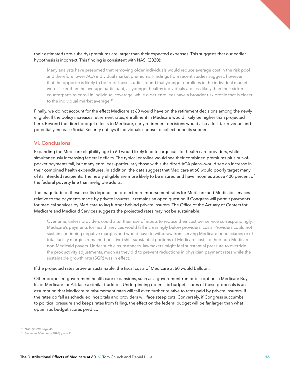#### their estimated (pre-subsidy) premiums are larger than their expected expenses. This suggests that our earlier hypothesis is incorrect. This finding is consistent with NASI (2020):

Many analysts have presumed that removing older individuals would reduce average cost in the risk pool and therefore lower ACA individual market premiums. Findings from recent studies suggest, however, that the opposite is likely to be true. These studies found that younger enrollees in the individual market were sicker than the average participant, as younger healthy individuals are less likely than their sicker counterparts to enroll in individual coverage, while older enrollees have a broader risk profile that is closer to the individual market average.<sup>41</sup>

Finally, we do not account for the effect Medicare at 60 would have on the retirement decisions among the newly eligible. If the policy increases retirement rates, enrollment in Medicare would likely be higher than projected here. Beyond the direct budget effects to Medicare, early retirement decisions would also affect tax revenue and potentially increase Social Security outlays if individuals choose to collect benefits sooner.

### **VI. Conclusions**

Expanding the Medicare eligibility age to 60 would likely lead to large cuts for health care providers, while simultaneously increasing federal deficits. The typical enrollee would see their combined premiums plus out-ofpocket payments fall, but many enrollees—particularly those with subsidized ACA plans—would see an increase in their combined health expenditures. In addition, the data suggest that Medicare at 60 would poorly target many of its intended recipients. The newly eligible are more likely to be insured and have incomes above 400 percent of the federal poverty line than ineligible adults.

The magnitude of these results depends on projected reimbursement rates for Medicare and Medicaid services relative to the payments made by private insurers. It remains an open question if Congress will permit payments for medical services by Medicare to lag further behind private insurers. The Office of the Actuary of Centers for Medicare and Medicaid Services suggests the projected rates may not be sustainable:

Over time, unless providers could alter their use of inputs to reduce their cost per service correspondingly, Medicare's payments for health services would fall increasingly below providers' costs. Providers could not sustain continuing negative margins and would have to withdraw from serving Medicare beneficiaries or (if total facility margins remained positive) shift substantial portions of Medicare costs to their non-Medicare, non-Medicaid payers. Under such circumstances, lawmakers might feel substantial pressure to override the productivity adjustments, much as they did to prevent reductions in physician payment rates while the sustainable growth rate (SGR) was in effect.

#### If the projected rates prove unsustainable, the fiscal costs of Medicare at 60 would balloon.

Other proposed government health care expansions, such as a government-run public option, a Medicare Buy-In, or Medicare for All, face a similar trade-off. Underpinning optimistic budget scores of these proposals is an assumption that Medicare reimbursement rates will fall even further relative to rates paid by private insurers. If the rates do fall as scheduled, hospitals and providers will face steep cuts. Conversely, if Congress succumbs to political pressure and keeps rates from falling, the effect on the federal budget will be far larger than what optimistic budget scores predict.

<sup>41</sup> *NASI (2020), page 45.*

<sup>42</sup> *Shatto and Clemens (2020), page 7.*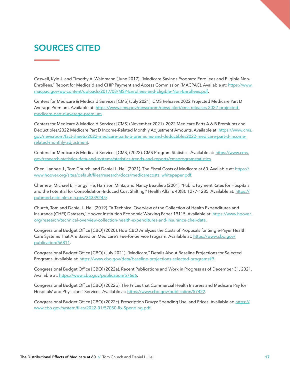# **SOURCES CITED**

Caswell, Kyle J. and Timothy A. Waidmann (June 2017). "Medicare Savings Program: Enrollees and Eligible Non-Enrollees," Report for Medicaid and CHIP Payment and Access Commission (MACPAC). Available at: [https://www.](https://www.macpac.gov/wp-content/uploads/2017/08/MSP-Enrollees-and-Eligible-Non-Enrollees.pdf) [macpac.gov/wp-content/uploads/2017/08/MSP-Enrollees-and-Eligible-Non-Enrollees.pdf](https://www.macpac.gov/wp-content/uploads/2017/08/MSP-Enrollees-and-Eligible-Non-Enrollees.pdf).

Centers for Medicare & Medicaid Services [CMS] (July 2021). CMS Releases 2022 Projected Medicare Part D Average Premium. Available at: [https://www.cms.gov/newsroom/news-alert/cms-releases-2022-projected](https://www.cms.gov/newsroom/news-alert/cms-releases-2022-projected-medicare-part-d-average-premium)[medicare-part-d-average-premium](https://www.cms.gov/newsroom/news-alert/cms-releases-2022-projected-medicare-part-d-average-premium).

Centers for Medicare & Medicaid Services [CMS] (November 2021). 2022 Medicare Parts A & B Premiums and Deductibles/2022 Medicare Part D Income-Related Monthly Adjustment Amounts. Available at: [https://www.cms.](https://www.cms.gov/newsroom/fact-sheets/2022-medicare-parts-b-premiums-and-deductibles2022-medicare-part-d-income-related-monthly-adjustment) [gov/newsroom/fact-sheets/2022-medicare-parts-b-premiums-and-deductibles2022-medicare-part-d-income](https://www.cms.gov/newsroom/fact-sheets/2022-medicare-parts-b-premiums-and-deductibles2022-medicare-part-d-income-related-monthly-adjustment)[related-monthly-adjustment](https://www.cms.gov/newsroom/fact-sheets/2022-medicare-parts-b-premiums-and-deductibles2022-medicare-part-d-income-related-monthly-adjustment).

Centers for Medicare & Medicaid Services [CMS] (2022). CMS Program Statistics. Available at: [https://www.cms.](https://www.cms.gov/research-statistics-data-and-systems/statistics-trends-and-reports/cmsprogramstatistics) [gov/research-statistics-data-and-systems/statistics-trends-and-reports/cmsprogramstatistics](https://www.cms.gov/research-statistics-data-and-systems/statistics-trends-and-reports/cmsprogramstatistics).

Chen, Lanhee J., Tom Church, and Daniel L. Heil (2021). The Fiscal Costs of Medicare at 60. Available at: [https://](https://www.hoover.org/sites/default/files/research/docs/medicarecosts_whitepaper.pdf) [www.hoover.org/sites/default/files/research/docs/medicarecosts\\_whitepaper.pdf](https://www.hoover.org/sites/default/files/research/docs/medicarecosts_whitepaper.pdf).

Chernew, Michael E, Hongyi He, Harrison Mintz, and Nancy Beaulieu (2001). "Public Payment Rates for Hospitals and the Potential for Consolidation-Induced Cost Shifting," Health Affairs 40(8): 1277-1285. Available at: [https://](https://pubmed.ncbi.nlm.nih.gov/34339245/) [pubmed.ncbi.nlm.nih.gov/34339245/](https://pubmed.ncbi.nlm.nih.gov/34339245/).

Church, Tom and Daniel L. Heil (2019). "A Technical Overview of the Collection of Health Expenditures and Insurance (CHEI) Datasets," Hoover Institution Economic Working Paper 19115. Available at: [https://www.hoover.](https://www.hoover. org/research/technical-overview-collection-health-expenditures-and-insurance-chei-data)  [org/research/technical-overview-collection-health-expenditures-and-insurance-chei-data](https://www.hoover. org/research/technical-overview-collection-health-expenditures-and-insurance-chei-data).

Congressional Budget Office [CBO] (2020). How CBO Analyzes the Costs of Proposals for Single-Payer Health Care Systems That Are Based on Medicare's Fee-for-Service Program. Available at: [https://www.cbo.gov/](https://www.cbo.gov/publication/56811) [publication/56811](https://www.cbo.gov/publication/56811).

Congressional Budget Office [CBO] (July 2021). "Medicare," Details About Baseline Projections for Selected Programs. Available at: <https://www.cbo.gov/data/baseline-projections-selected-programs#9>.

Congressional Budget Office [CBO] (2022a). Recent Publications and Work in Progress as of December 31, 2021. Available at: <https://www.cbo.gov/publication/57666>.

Congressional Budget Office [CBO] (2022b). The Prices that Commercial Health Insurers and Medicare Pay for Hospitals' and Physicians' Services. Available at: <https://www.cbo.gov/publication/57422>.

Congressional Budget Office [CBO] (2022c). Prescription Drugs: Spending Use, and Prices. Available at: [https://](https://www.cbo.gov/system/files/2022-01/57050-Rx-Spending.pdf) [www.cbo.gov/system/files/2022-01/57050-Rx-Spending.pdf](https://www.cbo.gov/system/files/2022-01/57050-Rx-Spending.pdf).